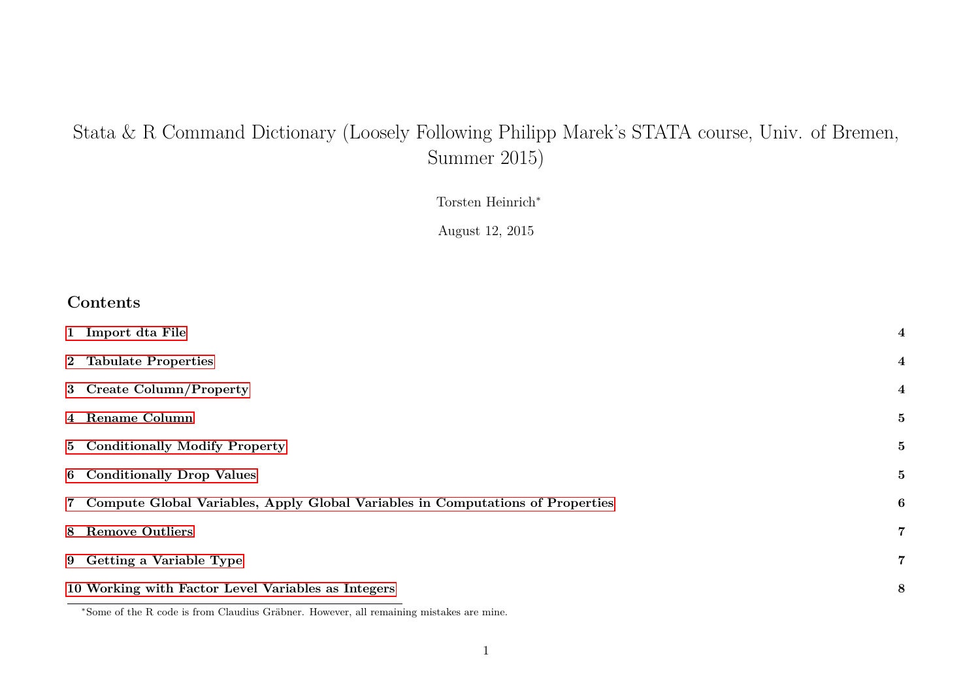# Stata & R Command Dictionary (Loosely Following Philipp Marek's STATA course, Univ. of Bremen, Summer 2015)

Torsten Heinrich<sup>∗</sup>

August 12, 2015

#### **Contents**

| 1 Import dta File                                                                | $\overline{\mathbf{4}}$ |
|----------------------------------------------------------------------------------|-------------------------|
| 2 Tabulate Properties                                                            | $\overline{\mathbf{4}}$ |
| 3 Create Column/Property                                                         | $\overline{\mathbf{4}}$ |
| 4 Rename Column                                                                  | 5                       |
| 5 Conditionally Modify Property                                                  | 5                       |
| <b>6</b> Conditionally Drop Values                                               | 5                       |
| 7 Compute Global Variables, Apply Global Variables in Computations of Properties | $\boldsymbol{6}$        |
| 8 Remove Outliers                                                                | $\overline{7}$          |
| 9 Getting a Variable Type                                                        | $\overline{7}$          |
| 10 Working with Factor Level Variables as Integers                               | 8                       |

<sup>∗</sup>Some of the R code is from Claudius Gräbner. However, all remaining mistakes are mine.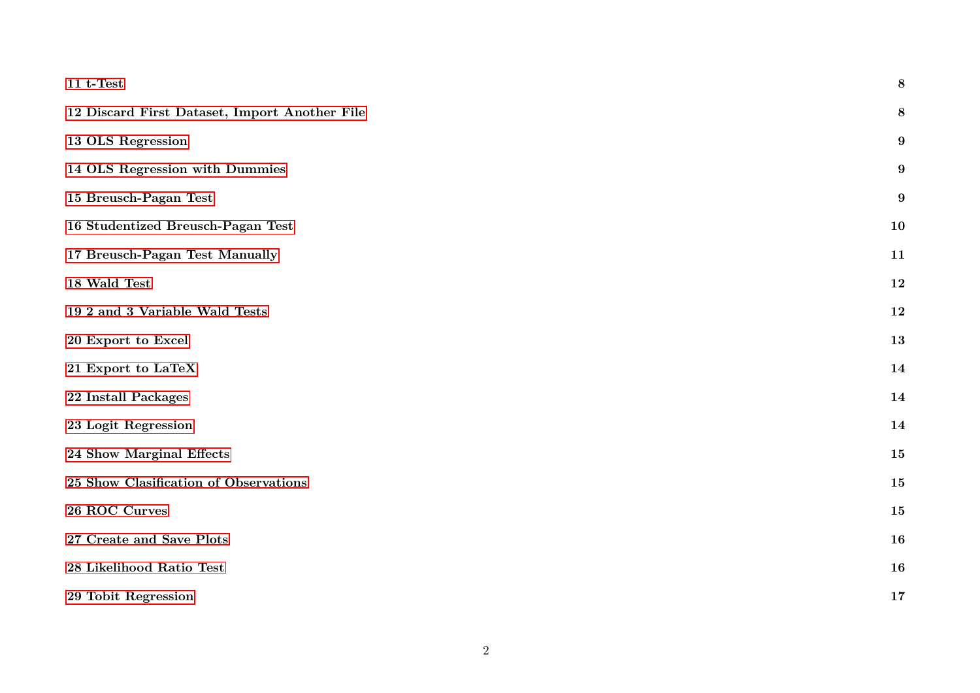| $11 t$ -Test                                  | 8         |
|-----------------------------------------------|-----------|
| 12 Discard First Dataset, Import Another File | 8         |
| 13 OLS Regression                             | 9         |
| 14 OLS Regression with Dummies                | 9         |
| 15 Breusch-Pagan Test                         | 9         |
| 16 Studentized Breusch-Pagan Test             | 10        |
| 17 Breusch-Pagan Test Manually                | 11        |
| 18 Wald Test                                  | 12        |
| 19 2 and 3 Variable Wald Tests                | 12        |
| 20 Export to Excel                            | 13        |
| 21 Export to LaTeX                            | 14        |
| 22 Install Packages                           | 14        |
| 23 Logit Regression                           | 14        |
| 24 Show Marginal Effects                      | 15        |
| 25 Show Clasification of Observations         | 15        |
| 26 ROC Curves                                 | 15        |
| 27 Create and Save Plots                      | <b>16</b> |
| 28 Likelihood Ratio Test                      | 16        |
| 29 Tobit Regression                           | 17        |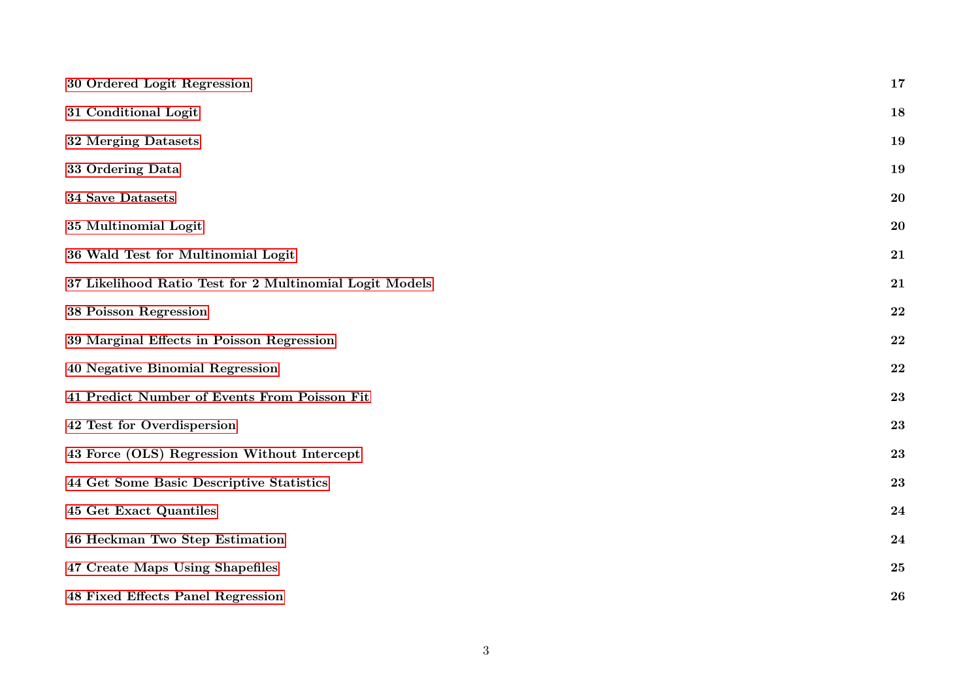| 30 Ordered Logit Regression                             | 17 |
|---------------------------------------------------------|----|
| 31 Conditional Logit                                    | 18 |
| 32 Merging Datasets                                     | 19 |
| 33 Ordering Data                                        | 19 |
| 34 Save Datasets                                        | 20 |
| 35 Multinomial Logit                                    | 20 |
| 36 Wald Test for Multinomial Logit                      | 21 |
| 37 Likelihood Ratio Test for 2 Multinomial Logit Models | 21 |
| 38 Poisson Regression                                   | 22 |
| 39 Marginal Effects in Poisson Regression               | 22 |
| 40 Negative Binomial Regression                         | 22 |
| 41 Predict Number of Events From Poisson Fit            | 23 |
| 42 Test for Overdispersion                              | 23 |
| 43 Force (OLS) Regression Without Intercept             | 23 |
| 44 Get Some Basic Descriptive Statistics                | 23 |
| 45 Get Exact Quantiles                                  | 24 |
| 46 Heckman Two Step Estimation                          | 24 |
| 47 Create Maps Using Shapefiles                         | 25 |
| 48 Fixed Effects Panel Regression                       | 26 |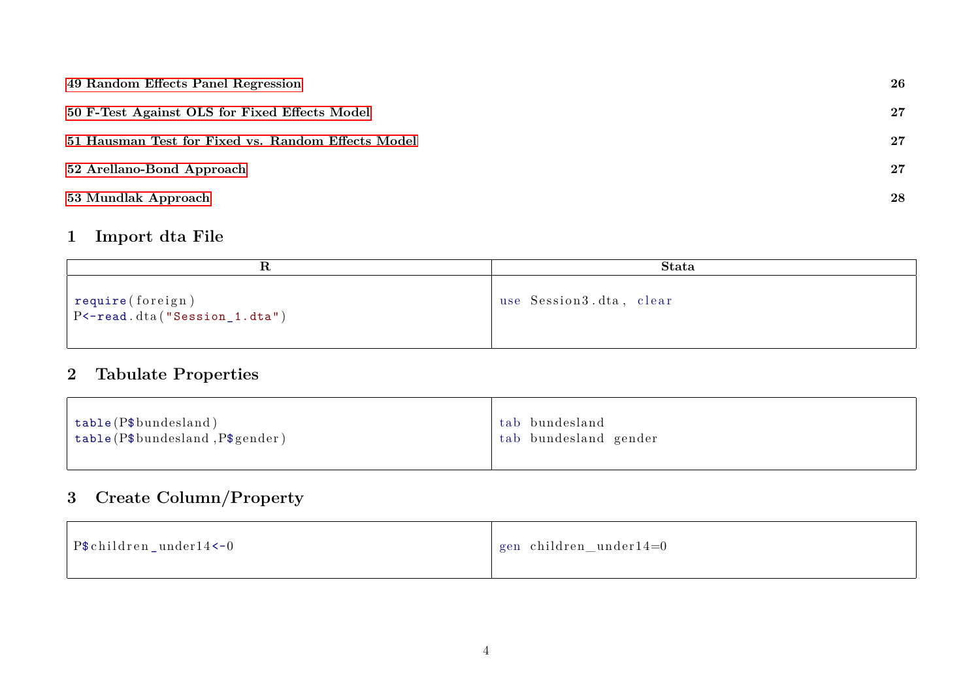| 49 Random Effects Panel Regression                 | 26     |
|----------------------------------------------------|--------|
| 50 F-Test Against OLS for Fixed Effects Model      | $27\,$ |
| 51 Hausman Test for Fixed vs. Random Effects Model | $27\,$ |
| 52 Arellano-Bond Approach                          | $27\,$ |
| 53 Mundlak Approach                                | 28     |

### <span id="page-3-0"></span>**1 Import dta File**

|                                                     | <b>Stata</b>            |
|-----------------------------------------------------|-------------------------|
| require(foreign)<br>$PC$ -read.dta("Session_1.dta") | use Session3.dta, clear |

# <span id="page-3-1"></span>**2 Tabulate Properties**

# <span id="page-3-2"></span>**3 Create Column/Property**

| $\vert$ P\$ children_under14 <-0 | gen children_under14=0 |
|----------------------------------|------------------------|
|----------------------------------|------------------------|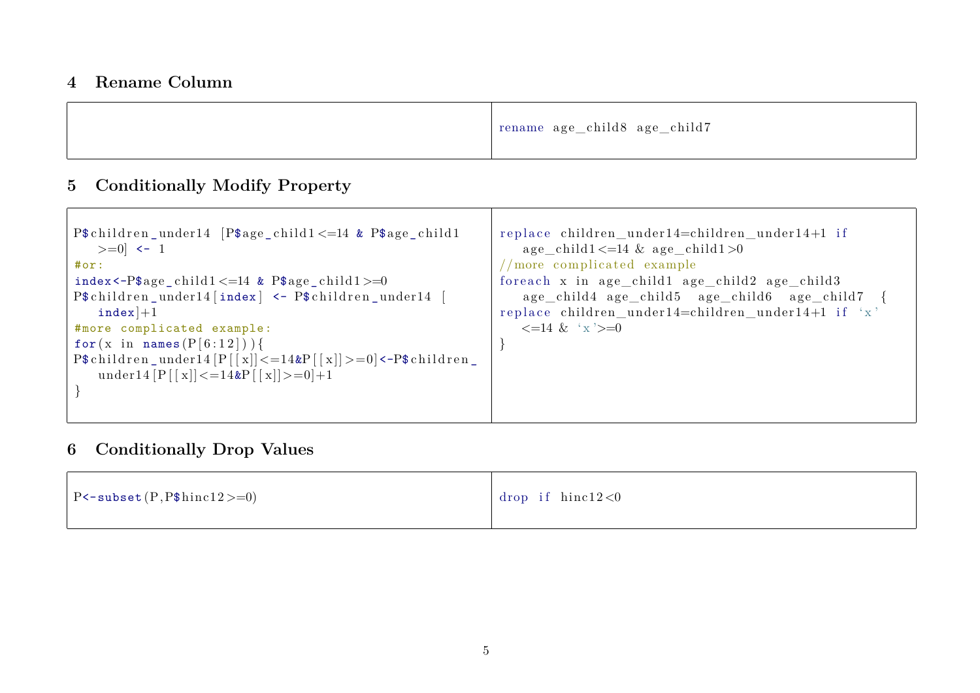#### <span id="page-4-0"></span>**4 Rename Column**

|  | rename age_child8 age_child7 |
|--|------------------------------|
|--|------------------------------|

### <span id="page-4-1"></span>**5 Conditionally Modify Property**

| P $$$ children_under14 [P $$$ age_child1 <=14 & P $$$ age_child1<br>$>=0$ $<-1$<br>#or:<br>index<-P $\text{age\_child1} \leq 14$ & P $\text{age\_child1} \geq 0$<br>P\$children_under14[index] <- P\$children_under14 [<br>$index$ $+1$<br>#more complicated example:<br>for $(x \in \mathsf{name}(P[6:12]))$ | replace children_under14=children_under14+1 if<br>$age\_child1 \leq 14 \& age\_child1 > 0$<br>/more complicated example<br>foreach x in age_child1 age_child2 age_child3<br>age_child4 age_child5 age_child6 age_child7 {<br>replace children_under14=children_under14+1 if 'x'<br>$\leq$ =14 & 'x' $>=$ 0 |
|---------------------------------------------------------------------------------------------------------------------------------------------------------------------------------------------------------------------------------------------------------------------------------------------------------------|------------------------------------------------------------------------------------------------------------------------------------------------------------------------------------------------------------------------------------------------------------------------------------------------------------|
| $P$ \$children_under14 $[P][x]$ < =14&P $[ x ]$ >=0 <-P\$children_<br>under14 $[P   x] < = 14 \& P   x] > = 0 + 1$                                                                                                                                                                                            |                                                                                                                                                                                                                                                                                                            |

### <span id="page-4-2"></span>**6 Conditionally Drop Values**

| $\vert$ P<-subset $(P, P$$ hinc $12>=0$ ) | drop if $hinc12<0$ |
|-------------------------------------------|--------------------|
|-------------------------------------------|--------------------|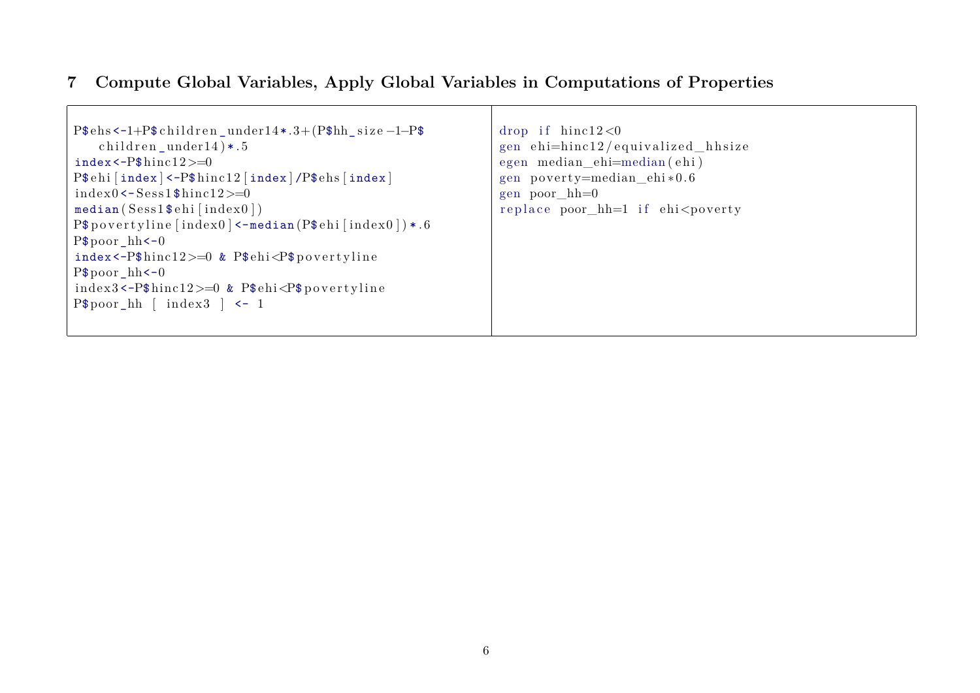# <span id="page-5-0"></span>**7 Compute Global Variables, Apply Global Variables in Computations of Properties**

| $P$ \$ehs <-1+ $P$ \$children_under14 *.3+ $(P$ \$hh_size-1- $P$ \$            | drop if $hinc12<0$                     |
|--------------------------------------------------------------------------------|----------------------------------------|
| children_under14) $*.5$                                                        | gen ehi=hinc12/equivalized_hhsize      |
| $index <-P$$ hinc $12>=0$                                                      | egen median_ehi=median(ehi)            |
| $P$ehi$ [index] <- $P$hinc12$ [index]/ $P$ehs$ [index]                         | gen poverty=median ehi $*0.6$          |
| $index 0 < -Sess1$ \$hincl2>=0                                                 | $gen\; poor\; hh=0$                    |
| $median(Sess1\$ $ehi$ [index $0$ ])                                            | replace poor $hh=1$ if $ehi <$ poverty |
| $P$povertylinder$ [index0] <-median(P\$ehi[index0]) *.6                        |                                        |
| $P$poor_hh<-0$                                                                 |                                        |
| index <- $P$$ hinc $12$ >=0 & $P$$ ehi < $P$$ povertyline                      |                                        |
| $P$poor_hh<-0$                                                                 |                                        |
| index3<-P $\frac{\text{thick}}{2}$ =0 & P $\frac{\text{thick}}{2}$ povertyline |                                        |
| $P$poor_hh \ [index3] < -1$                                                    |                                        |
|                                                                                |                                        |
|                                                                                |                                        |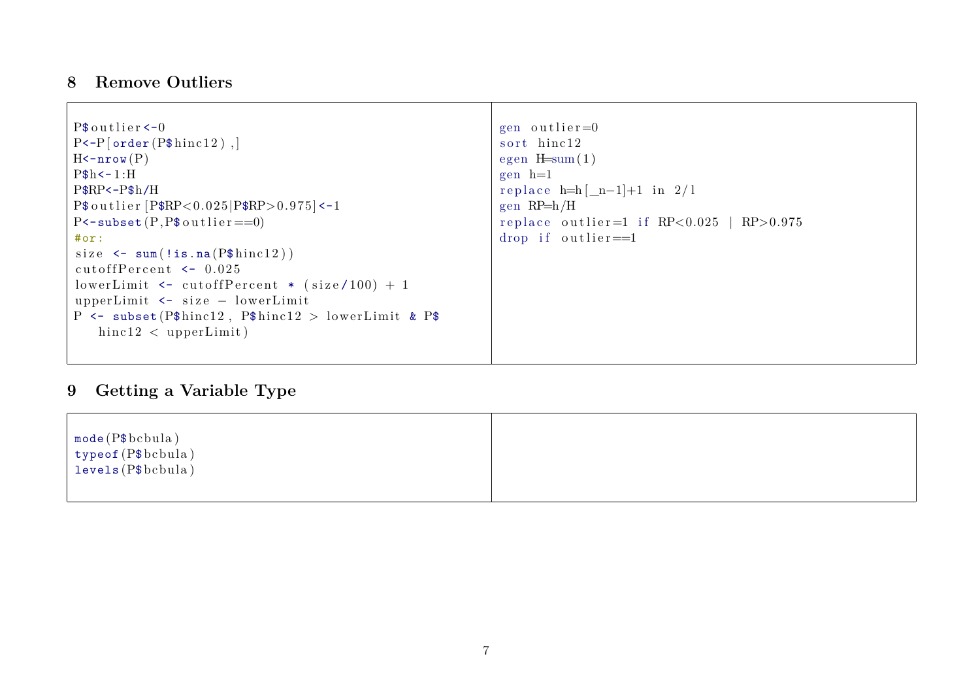#### <span id="page-6-0"></span>**8 Remove Outliers**

| $P$$ outlier $<-0$                                                                        | gen outlier= $0$                             |
|-------------------------------------------------------------------------------------------|----------------------------------------------|
| $P \left\{ \neg P \left[ \text{order} \left( P \$ \text{hinc12} \right) \right] \right\}$ | sort hinc12                                  |
| $H$ < $\texttt{-}nrow(P)$                                                                 | egen $H=sum(1)$                              |
| $P$h<-1:H$                                                                                | $gen \ h=1$                                  |
| $P$RP<-P$h/H$                                                                             | replace $h=h[\underline{n}-1]+1$ in $2/l$    |
| $P$$ outlier $[P$RP<0.025 P$RP>0.975]<-1$                                                 | gen $RP=h/H$                                 |
| $P$ < - subset $(P, P$ \$ outlier = = 0)                                                  | replace outlier=1 if $RP<0.025$   $RP>0.975$ |
| #or:                                                                                      | drop if outlier= $=1$                        |
| size $\leq$ sum(!is.na( $\mathbb{P}\$ hinc12))                                            |                                              |
| cutoff $Percent$ $\leftarrow$ 0.025                                                       |                                              |
| lowerLimit $\le$ cutoffPercent * (size/100) + 1                                           |                                              |
| upperLimit $\le$ size – lowerLimit                                                        |                                              |
| P <- subset (P $\text{\$hinc12$}$ , P $\text{\$hinc12$} >$ lowerLimit & P $\text{\$}$     |                                              |
| $\text{hinc12}$ < upperLimit)                                                             |                                              |
|                                                                                           |                                              |

# <span id="page-6-1"></span>**9 Getting a Variable Type**

| $\mod$ (P $\text{\$bcbula}$ ) |  |
|-------------------------------|--|
| $\vert$ typeof (P\$bcbula)    |  |
| levels(P\$bcbula)             |  |
|                               |  |
|                               |  |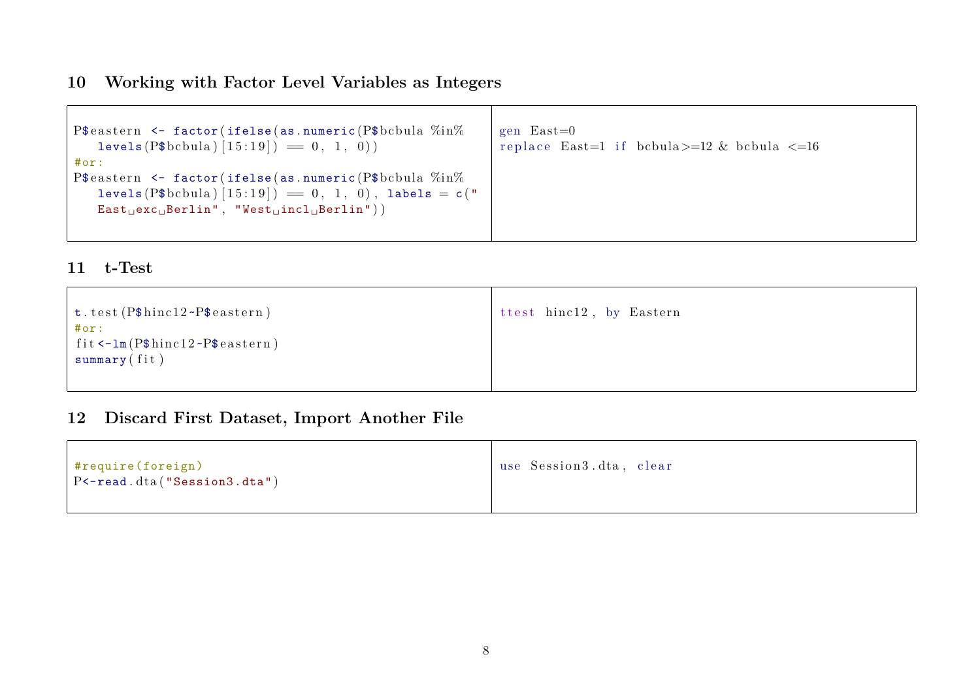### <span id="page-7-0"></span>**10 Working with Factor Level Variables as Integers**

| P\$eastern $\leq$ factor(ifelse(as.numeric(P\$bcbula $\%$ in $\%$ )<br>$levels(P\$bbula)[15:19]) = 0, 1, 0)$ | gen $East=0$<br>replace East=1 if bcbula $> = 12$ & bcbula $\leq 16$ |
|--------------------------------------------------------------------------------------------------------------|----------------------------------------------------------------------|
| #or:                                                                                                         |                                                                      |
| P\$eastern $\leq$ factor(ifelse(as.numeric(P\$bcbula $\%$ in $\%$ )                                          |                                                                      |
| levels (P\$bcbula) $[15:19]$ = 0, 1, 0), labels = c("                                                        |                                                                      |
| $East_Uexc_U Berlin", "West_Uincl_UBerlin").$                                                                |                                                                      |
|                                                                                                              |                                                                      |
|                                                                                                              |                                                                      |

#### <span id="page-7-1"></span>**11 t-Test**

| $\vert$ t.test (P\$hinc12~P\$eastern)<br>#or:<br>$\int$ fit <-1m (P\$hinc12 ~P\$eastern)<br>summary(fit) | ttest hinc12, by Eastern |
|----------------------------------------------------------------------------------------------------------|--------------------------|
|                                                                                                          |                          |

### <span id="page-7-2"></span>**12 Discard First Dataset, Import Another File**

| $ $ #require (foreign)<br>$\vert$ P < - read. dta ("Session 3. dta") | use Session3.dta, clear |
|----------------------------------------------------------------------|-------------------------|
|                                                                      |                         |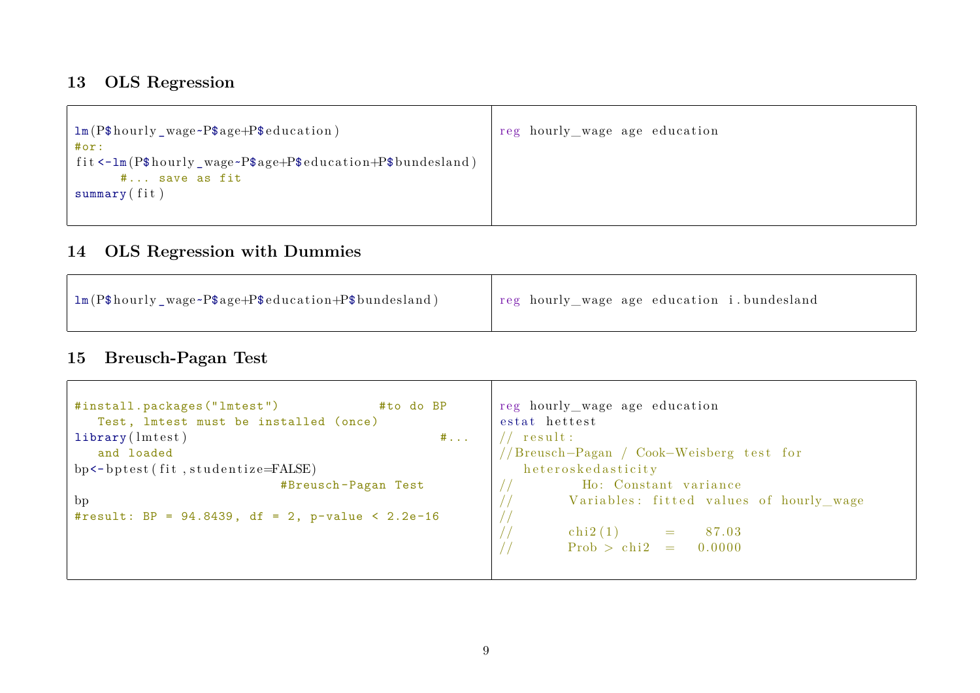# <span id="page-8-0"></span>**13 OLS Regression**

| 1m (P\$hourly_wage~P\$age+P\$education)                    | reg hourly_wage age education |
|------------------------------------------------------------|-------------------------------|
| #or:                                                       |                               |
| fit <-1m(P\$hourly_wage~P\$age+P\$education+P\$bundesland) |                               |
| # save as fit                                              |                               |
| summary(fit)                                               |                               |
|                                                            |                               |
|                                                            |                               |

# <span id="page-8-1"></span>**14 OLS Regression with Dummies**

| Im (P\$hourly_wage~P\$age+P\$education+P\$bundesland) | reg hourly_wage age education i.bundesland |
|-------------------------------------------------------|--------------------------------------------|
|-------------------------------------------------------|--------------------------------------------|

### <span id="page-8-2"></span>**15 Breusch-Pagan Test**

| #install.packages("lmtest")<br>#to do BP            | reg hourly_wage age education            |
|-----------------------------------------------------|------------------------------------------|
| Test, lmtest must be installed (once)               | estat hettest                            |
| $\text{library}(\text{Interest})$<br>$\#$           | ${\rm \ }$ result :                      |
| and loaded                                          | //Breusch-Pagan / Cook-Weisberg test for |
| bp <- bptest (fit, studentize=FALSE)                | heteroskedasticity                       |
| #Breusch-Pagan Test                                 | Ho: Constant variance                    |
| bp                                                  | Variables: fitted values of hourly_wage  |
| #result: BP = $94.8439$ , df = 2, p-value < 2.2e-16 |                                          |
|                                                     | $\operatorname{chi2(1)}$ =<br>87.03      |
|                                                     | $Prob > chi2 = 0.0000$                   |
|                                                     |                                          |
|                                                     |                                          |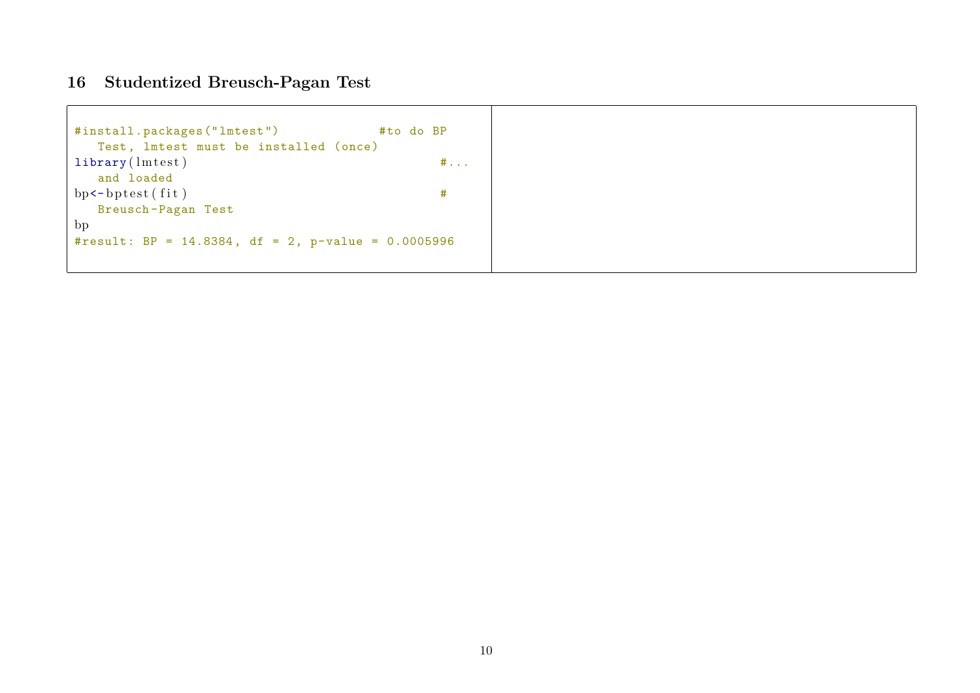#### <span id="page-9-0"></span>**16 Studentized Breusch-Pagan Test**

```
#install.packages("lmtest") #to do BP
  Test, lmtest must be installed (once)
\text{library} \left( \text{Interest} \right) \text{#} \dotsand loaded
bp \leftarrow bptest(fit) #
  Breusch -Pagan Test
bp
#result: BP = 14.8384, df = 2, p-value = 0.0005996
```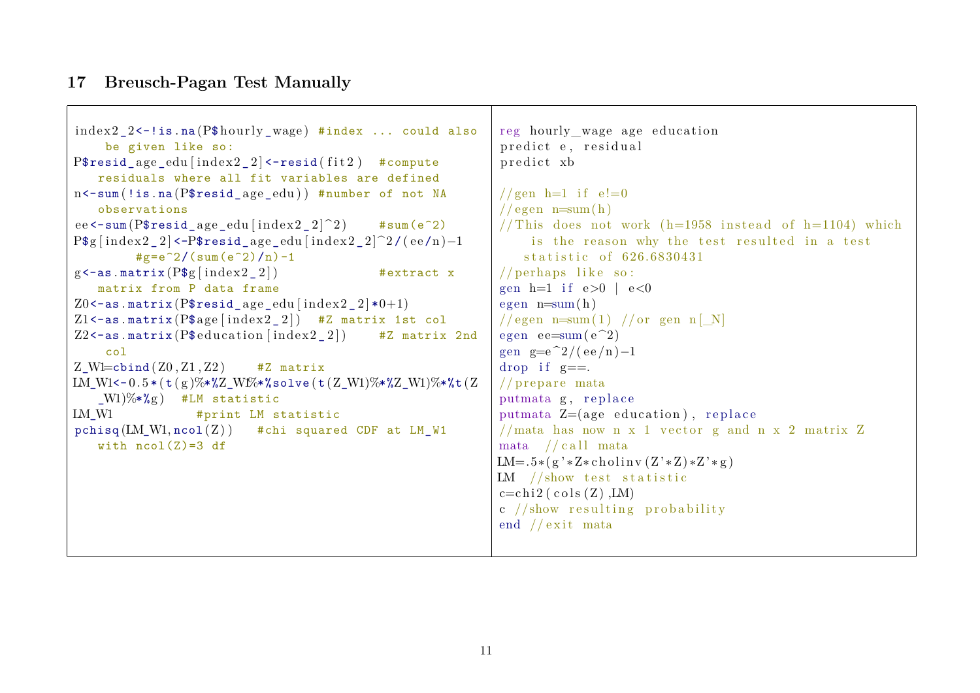#### <span id="page-10-0"></span>**17 Breusch-Pagan Test Manually**

```
index 2 2 <-| is . na (P$ hourly wage) #index ... could also
    be given like so:
P$resid age edu [ index 2 | 2 ] <-resid ( fit 2 ) #compute
   residuals where all fit variables are defined
n<-sum (!is.na (P$resid age_edu)) #number of not NA
   observations
ee \epsilon-sum (P$resid age edu [ index 2 2 \mid 2 ) #sum (e^2)
P$g [index2_2 ] <-P$resid_age_edu [index2_2 ]^2/(ee/n)-1
         \#g=e<sup>2/</sup>(sum(e<sup>2</sup>)/n)-1
g<-as . matrix (P $g \mid \text{index} 2 \mid 2] \qquad \qquad #extract x
   matrix from P data frame
Z0 < - as . matrix (P$ resid_age_edu [index 2_2 |*0+1)
Z1 <- as . matrix (P\age \lceil \text{index} 2 \rceil) #Z matrix 1st col
Z2 <-as . matrix (P$ education [index 2 2]) #Z matrix 2nd
    col
Z Wl=cbind (Z0, Z1, Z2) #Z matrix
LM W1<-0.5 * ( t ( g )%*%Z_W1%*%solve ( t ( Z_W1)%*%Z_W1)%*%t ( Z
   (W1)\% * \%g #LM statistic
LM W1 #print LM statistic
pchisq (LM_W1, ncol (Z)) #chi squared CDF at LM_W1with ncol(Z)=3 dfreg hourly wage age education
                                                                predict e, residual
                                                                predict xb
                                                                //gen h=1 if e!=0// egen n=sum(h)// This does not work (h=1958 instead of h=1104) which
                                                                    is the reason why the test resulted in a test
                                                                   statistic of 626,6830431
                                                                // perhaps like so:
                                                                gen h=1 if e>0 | e<0egen n=sum(h)//egen n=sum(1) //or gen n [N]
                                                                egen ee=sum(e^2)
                                                                gen g=e\hat{2}/(\mathrm{ee}/\mathrm{n})-1drop if g==.
                                                                // prepare mata
                                                                putmata g, replace
                                                                putmata Z=(age\ education), replace
                                                                //mata has now n x 1 vector g and n x 2 matrix Zmata //call mata
                                                               LM=.5*(g' * Z * \text{cholin}(Z' * Z) * Z' * g)LM //show test statisticc=c \text{hi} 2 (\text{cols} (Z) , LM)c //show resulting probability
                                                                end // exit mata
```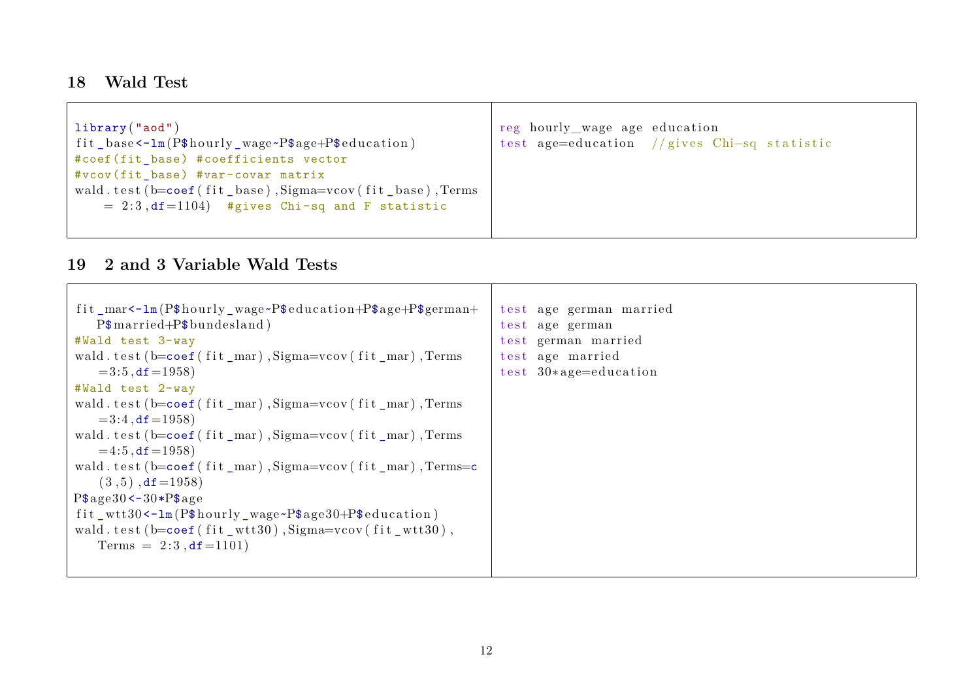### <span id="page-11-0"></span>**18 Wald Test**

| library("aod")                                        | reg hourly_wage age education               |
|-------------------------------------------------------|---------------------------------------------|
| fit_base<-1m(P\$hourly_wage~P\$age+P\$education)      | test age=education //gives Chi-sq statistic |
| #coef(fit_base) #coefficients vector                  |                                             |
| #vcov(fit_base) #var-covar matrix                     |                                             |
| wald.test(b=coef(fit_base),Sigma=vcov(fit_base),Terms |                                             |
| $= 2:3$ , df=1104) #gives Chi-sq and F statistic      |                                             |
|                                                       |                                             |
|                                                       |                                             |

#### <span id="page-11-1"></span>**19 2 and 3 Variable Wald Tests**

| fit_mar<-1m(P\$hourly_wage~P\$education+P\$age+P\$german+                                                       | test age german married |
|-----------------------------------------------------------------------------------------------------------------|-------------------------|
| $P$married + P$bundesland)$                                                                                     | test age german         |
| #Wald test 3-way                                                                                                | test german married     |
| wald.test(b=coef(fit_mar),Sigma=vcov(fit_mar),Terms                                                             | test age married        |
| $=3:5$ , df $=1958$ )                                                                                           | test $30*age=education$ |
| #Wald test 2-way                                                                                                |                         |
| wald.test(b=coef(fit_mar),Sigma=vcov(fit_mar),Terms                                                             |                         |
| $=3:4$ , df $=1958$ )                                                                                           |                         |
| wald.test(b=coef(fit_mar),Sigma=vcov(fit_mar),Terms                                                             |                         |
| $=4:5$ , df $=1958$ )                                                                                           |                         |
| wald.test ( $b = \text{coeff}$ (fit $_{max}$ ), $\text{Sigma} = \text{cov}$ (fit $_{max}$ ), $\text{Terms} = c$ |                         |
| $(3,5)$ , df = 1958)                                                                                            |                         |
| $P$age30<-30*P$age$                                                                                             |                         |
| fit_wtt30<-1m(P\$hourly_wage~P\$age30+P\$education)                                                             |                         |
| wald.test(b= $\text{coef}($ fit_wtt30),Sigma= $\text{vcov}($ fit_wtt30),                                        |                         |
| Terms = $2:3$ , df = 1101)                                                                                      |                         |
|                                                                                                                 |                         |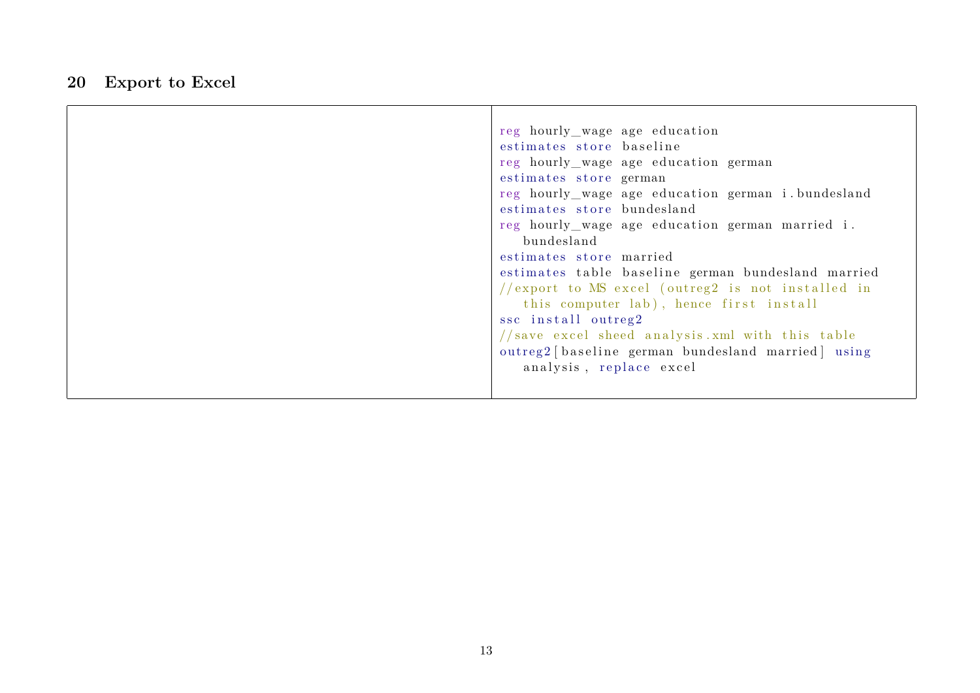### <span id="page-12-0"></span>**20 Export to Excel**

| reg hourly_wage age education                       |
|-----------------------------------------------------|
| estimates store baseline                            |
| reg hourly_wage age education german                |
| estimates store german                              |
| reg hourly_wage age education german i.bundesland   |
| estimates store bundesland                          |
| reg hourly_wage age education german married i.     |
| bundesland                                          |
| estimates store married                             |
| estimates table baseline german bundesland married  |
| //export to $MS$ excel (outreg2 is not installed in |
| this computer lab), hence first install             |
| ssc install outreg2                                 |
| //save excel sheed analysis.xml with this table     |
| outreg2 [baseline german bundesland married] using  |
| analysis, replace excel                             |
|                                                     |
|                                                     |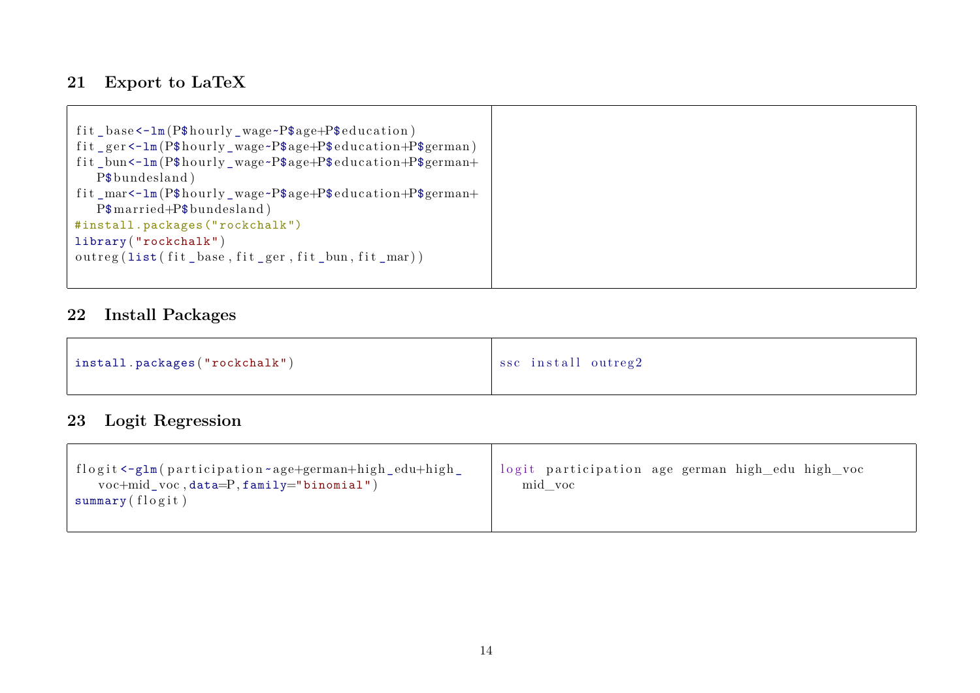### <span id="page-13-0"></span>**21 Export to LaTeX**

| fit_base<-1m(P\$hourly_wage~P\$age+P\$education)            |
|-------------------------------------------------------------|
| fit_ger <-1m(P\$hourly_wage~P\$age+P\$education+P\$german)  |
| fit_bun <-1m(P\$hourly_wage ~P\$age+P\$education+P\$german+ |
| P\$bundesland)                                              |
| fit_mar <-1m(P\$hourly_wage ~P\$age+P\$education+P\$german+ |
| $P$married + P$bundesland)$                                 |
| #install.packages("rockchalk")                              |
| library("rockchalk")                                        |
| outreg (list (fit_base, fit_ger, fit_bun, fit_mar))         |
|                                                             |
|                                                             |

### <span id="page-13-1"></span>**22 Install Packages**

| install.packages("rockchalk") | ssc install outreg2 |
|-------------------------------|---------------------|
|-------------------------------|---------------------|

# <span id="page-13-2"></span>**23 Logit Regression**

| flogit <-glm (participation ~age+german+high_edu+high_<br>$voc+mid_v voc, data=P, family="binomial")$<br>summary(flogit) | logit participation age german high edu high voc<br>mid voc |
|--------------------------------------------------------------------------------------------------------------------------|-------------------------------------------------------------|
|--------------------------------------------------------------------------------------------------------------------------|-------------------------------------------------------------|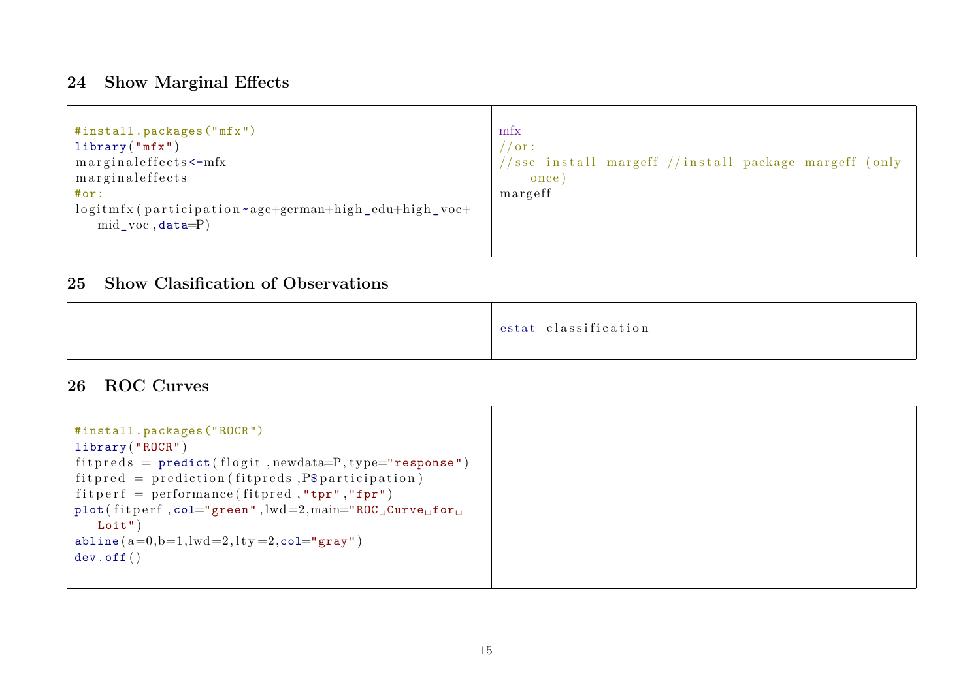#### <span id="page-14-0"></span>**24 Show Marginal Effects**

| #install.packages("mfx")                                | mfx                                                   |
|---------------------------------------------------------|-------------------------------------------------------|
| library("mfx")                                          | $^{\prime}$ / or :                                    |
| marginaleffects <- mfx                                  | //ssc install margeff //install package margeff (only |
| marginaleffects                                         | once)                                                 |
| #or:                                                    | margeff                                               |
| logitmfx (participation ~ age+german+high_edu+high_voc+ |                                                       |
| $mid\_voc, data=P)$                                     |                                                       |
|                                                         |                                                       |
|                                                         |                                                       |

#### <span id="page-14-1"></span>**25 Show Clasification of Observations**

#### <span id="page-14-2"></span>**26 ROC Curves**

```
#install.packages("ROCR")
library ( "ROCR" )
fitpreds = predict(flogit, newdata=P, type="response")fitpred = prediction (fitpreds, P$ partition)fit p e r f = performance (fit pred, "tpr", "fpr")
plot (fit p erf, col="green", lwd=2, main="ROC<sub>□</sub>Curve<sub>□</sub>for<sub>□</sub>Loit" )
abline (a=0,b=1,lwd=2, lty=2, col="gray")
dev . off ( )
```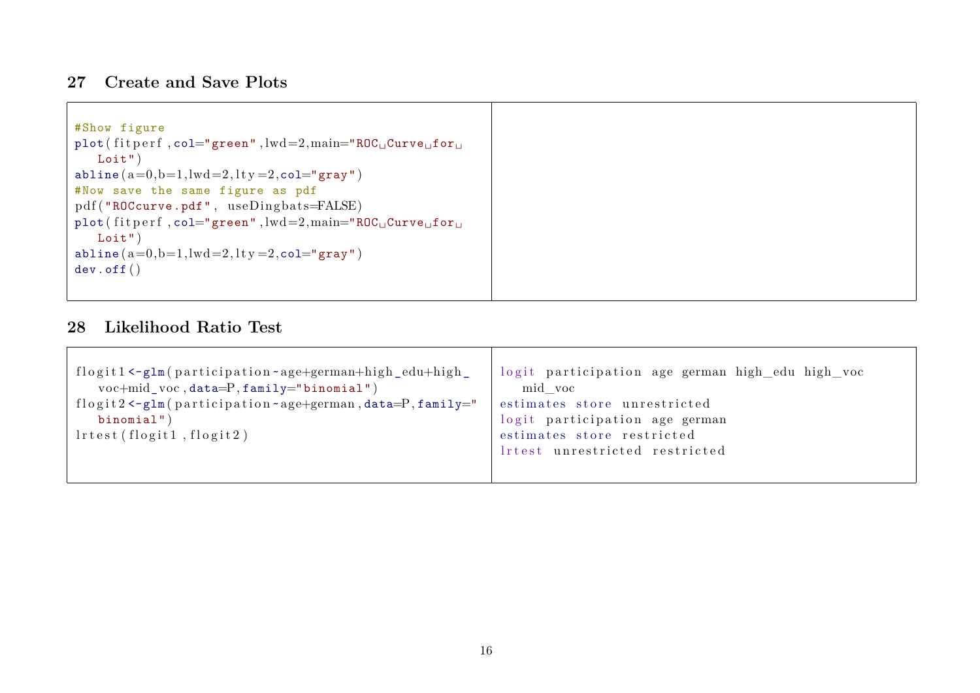#### <span id="page-15-0"></span>**27 Create and Save Plots**

| #Show figure                                                     |
|------------------------------------------------------------------|
| plot (fitperf, col="green", $lwd=2$ , $main="ROC_UCurve_U for_U$ |
| Loit'                                                            |
| $abline (a=0,b=1, lwd=2, lty=2, col="gray")$                     |
| #Now save the same figure as pdf                                 |
| pdf("ROCcurve.pdf", useDingbats=FALSE)                           |
| plot (fitperf, col="green", $lwd=2$ , $main="ROC_UCurve_Ufor_U$  |
| Loit'                                                            |
| abline $(a=0,b=1, lwd=2, lty=2, col="gray"$                      |
| $dev.$ of $f()$                                                  |
|                                                                  |

#### <span id="page-15-1"></span>**28 Likelihood Ratio Test**

| flogit1 $\leftarrow$ glm(participation $\sim$ age+german+high_edu+high_                                 | logit participation age german high_edu high_voc |
|---------------------------------------------------------------------------------------------------------|--------------------------------------------------|
| $voc+mid_vroc, data=P, family="binomial")$                                                              | mid voc                                          |
| flogit $2 < -g \ln(\text{partition} \cdot \text{age} + \text{german}, \text{data}=P, \text{family} =$ " | estimates store unrestricted                     |
| binomial")                                                                                              | logit participation age german                   |
| $l$ rtest (flogit $1$ , flogit $2$ )                                                                    | estimates store restricted                       |
|                                                                                                         | lrtest unrestricted restricted                   |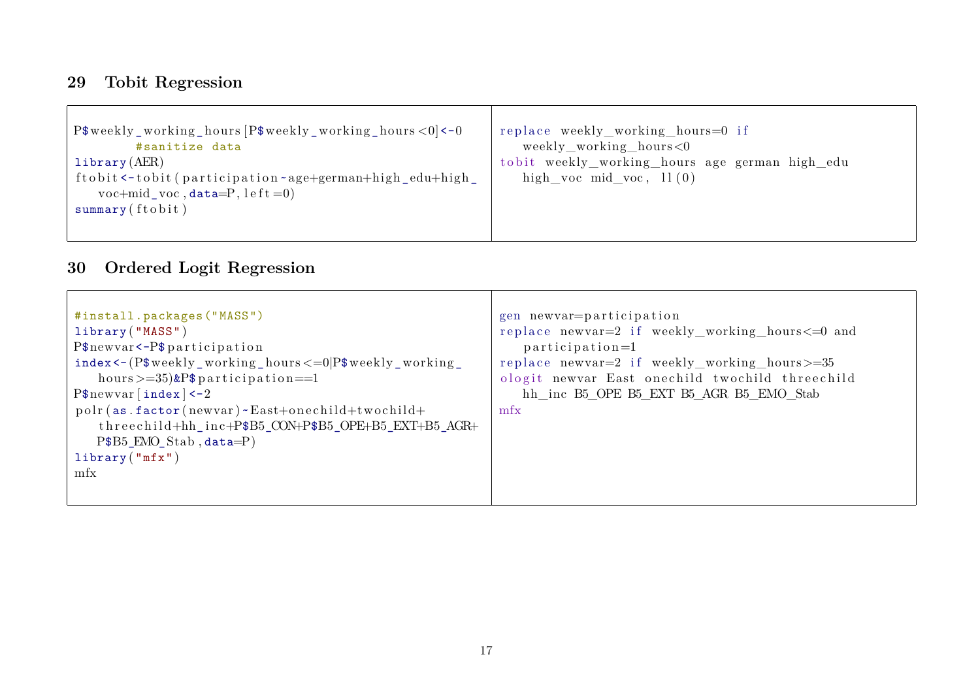### <span id="page-16-0"></span>**29 Tobit Regression**

| $P*weakly_working_hours[P*weakly_working_hours <0$ <-0<br>#sanitize data<br>l <sub>i</sub> brary (AER)          | replace weekly_working_hours=0 if<br>weekly_working_hours<0<br>tobit weekly_working_hours age german high_edu |
|-----------------------------------------------------------------------------------------------------------------|---------------------------------------------------------------------------------------------------------------|
| ftobit <-tobit (participation ~age+german+high_edu+high_<br>$voc+mid_vroc, data=P, let t=0$<br>summary (ftobit) | high voc mid voc, $11(0)$                                                                                     |
|                                                                                                                 |                                                                                                               |

# <span id="page-16-1"></span>**30 Ordered Logit Regression**

| #install.packages("MASS")                                                                                                                                                                                                                   | gen newvar=participation                                                                          |
|---------------------------------------------------------------------------------------------------------------------------------------------------------------------------------------------------------------------------------------------|---------------------------------------------------------------------------------------------------|
| library ("MASS")                                                                                                                                                                                                                            | replace newvar=2 if weekly_working_hours<=0 and                                                   |
| $P$newvar < -P$$ participation                                                                                                                                                                                                              | $participation=1$                                                                                 |
| $index < -(P*weekly_worthgr_ hours = 0 P*weekly_working_$                                                                                                                                                                                   | replace newvar=2 if weekly_working_hours>=35                                                      |
| hours $\geq$ = 35) & P\$ participation = = 1<br>$P$newvar$ [index] <-2<br>polr (as. factor (newvar) ~ East+onechild+twochild+<br>threechild+hh_inc+P\$B5_CON+P\$B5_OPE+B5_EXT+B5_AGR+<br>$P$B5\_EMO\_Stab, data=P$<br>library("mfx")<br>mfx | ologit newvar East onechild twochild threechild<br>hh inc B5 OPE B5 EXT B5 AGR B5 EMO Stab<br>mfx |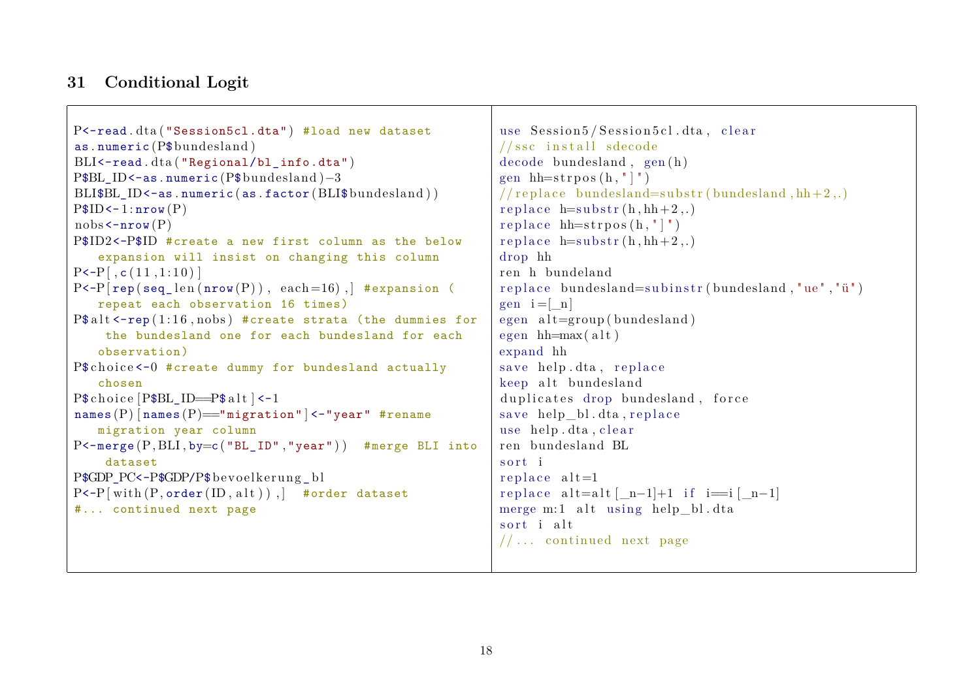#### <span id="page-17-0"></span>**31 Conditional Logit**

```
P<-read.dta ("Session5cl.dta") #load new dataset
as . numeric (P$bundesland )
BLI<-read.dta ("Regional/bl_info.dta")
P$BL ID<-as . numeric (P$bundesland )-3
BLI$BL ID<-as . numeric (as . factor ( BLI$ bundesland ) )
P$ID<-1: nrow(P)nobs < -nrow(P)P$ID2<-P$ID #create a new first column as the below
   expansion will insist on changing this column
P \le P[, c (11, 1:10)]
P \left\{ \text{rep}(\text{seq } len(nrow(P)) , each =16) \right\} #expansion (
   repeat each observation 16 times)
P$ all t < -rep(1:16, nobs) #create strata (the dummies for
    the bundesland one for each bundesland for each
   observation)
P$ choice < -0 #create dummy for bundesland actually
   chosen
P$ choice [P$ BL ID=P$ alt \left| \leftarrow 1 \right]names (P) [names (P)] = "migration" | < - "year" #rename
   migration year column
P <-merge (P, BLI, by=c ("BL_ID","year") ) #merge BLI into
    dataset
P$GDP_PC<-P$GDP/P$ bevoelkerung bl
P <-P[with (P, order(ID, alt )), #order dataset
#... continued next page
                                                               use Session 5/Session 5cl.dta. clear
                                                               //ssc install sdecode
                                                               decode bundesland, gen(h)gen hh=strpos(h, " | " )// replace bundle <math>\sum_{i=1}^{n} bundesland=substr(bundesland, hh+2,.)
                                                               replace h=substr(h,hh+2,.)replace hh=strpos(h, " | " )replace h=substr(h,hh+2,.)drop hh
                                                               ren h bundeland
                                                               replace bundesland=subinstr(bundesland, "ue", "\ddot{u}")
                                                               gen i = \lceil n \rceilegen alt=group (bundesland)
                                                               egen hh=max( alt)expand hh
                                                               save help.dta, replace
                                                               keep alt bundesland
                                                               duplicates drop bundesland, force
                                                               save help bl. dta, r e place
                                                               use help.dta, clear
                                                               ren bundesland BL
                                                               sort i
                                                               replace alt=1replace alt=alt [ n-1]+1 if i=i [ n-1]
                                                               merge m:1 alt using help bl.dta
                                                               sort i alt
                                                               //... continued next page
```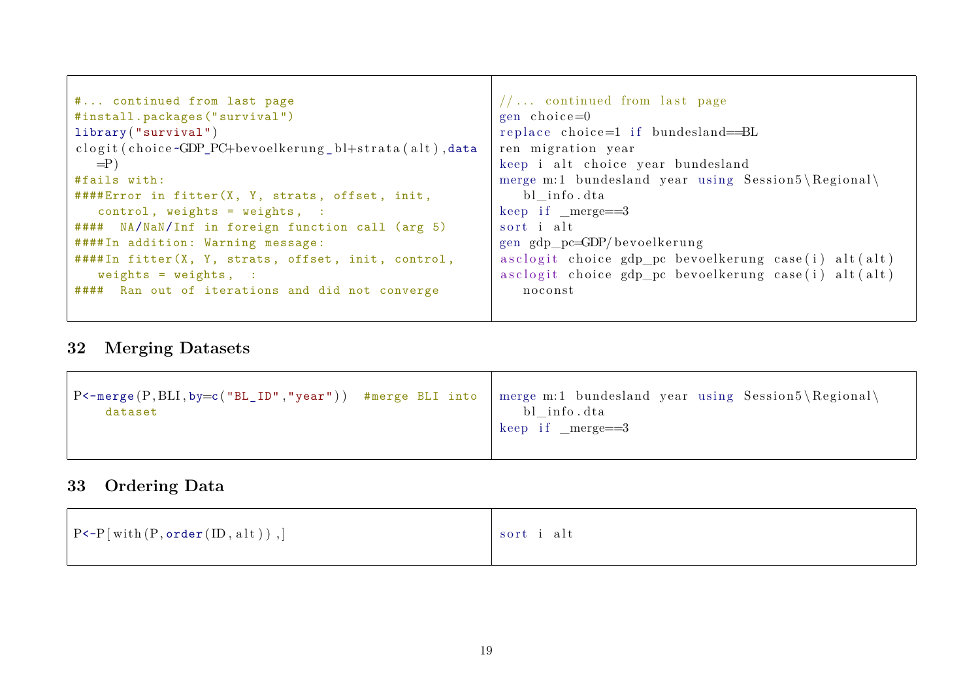| # continued from last page                               | $//$ continued from last page                        |
|----------------------------------------------------------|------------------------------------------------------|
| #install.packages("survival")                            | $gen choice = 0$                                     |
| library("survival")                                      | replace choice=1 if bundesland=BL                    |
| clogit (choice~GDP_PC+bevoelkerung_bl+strata (alt), data | ren migration year                                   |
| $=$ P)                                                   | keep i alt choice year bundesland                    |
| #fails with:                                             | merge m:1 bundesland year using Session5\Regional\   |
| ####Error in fitter(X, Y, strats, offset, init,          | bl info.dta                                          |
| $control, weights = weights, :$                          | keep if $merge==3$                                   |
| #### NA/NaN/Inf in foreign function call (arg 5)         | sort i alt                                           |
| ####In addition: Warning message:                        | gen gdp_pc=GDP/bevoelkerung                          |
| ####In fitter(X, Y, strats, offset, init, control,       | asclogit choice gdp_pc bevoelkerung case(i) alt(alt) |
| weights = $weights$ , :                                  | asclogit choice gdp_pc bevoelkerung case(i) alt(alt) |
| #### Ran out of iterations and did not converge          | noconst                                              |
|                                                          |                                                      |
|                                                          |                                                      |

# <span id="page-18-0"></span>**32 Merging Datasets**

| P<-merge(P,BLI,by=c("BL_ID","year")) #merge BLI into   merge m:1 bundesland year using Session5\Regional\ | bl_info.dta                     |
|-----------------------------------------------------------------------------------------------------------|---------------------------------|
| dataset                                                                                                   | $\frac{1}{2}$ keep if _merge==3 |

# <span id="page-18-1"></span>**33 Ordering Data**

| $[$ P<-P[with $(P, \texttt{order}(ID, alt))$ ,] | sort i alt |
|-------------------------------------------------|------------|
|                                                 |            |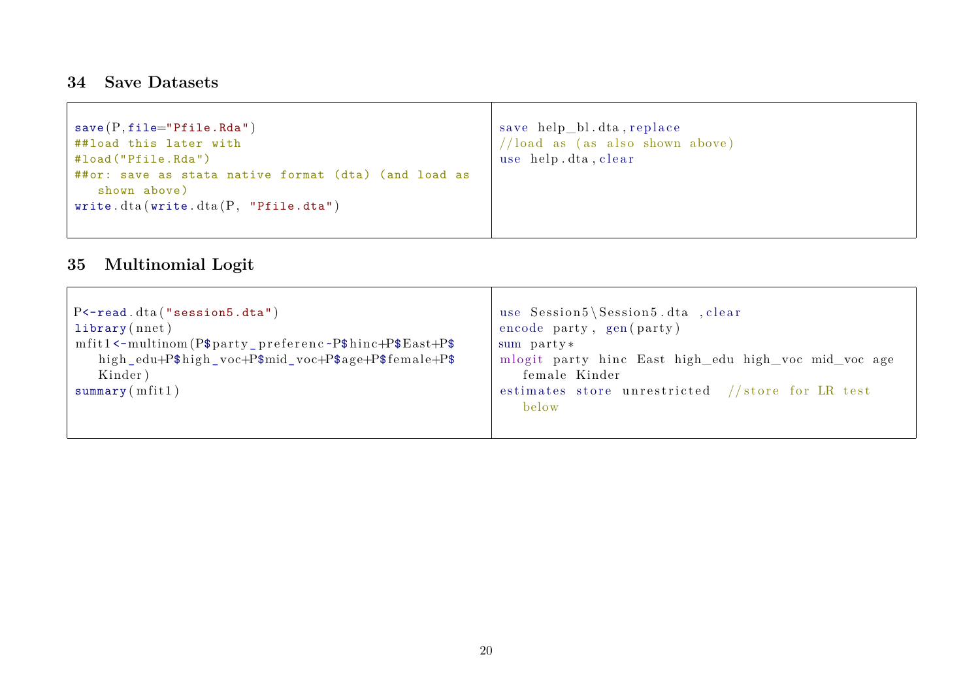### <span id="page-19-0"></span>**34 Save Datasets**

| $save(P, file="Pfile.Rda")$                          | save help_bl.dta, replace          |
|------------------------------------------------------|------------------------------------|
| ##load this later with                               | $//$ load as (as also shown above) |
| #load("Pfile.Rda")                                   | use help.dta, clear                |
| ##or: save as stata native format (dta) (and load as |                                    |
| shown above)                                         |                                    |
| write.dta (write.dta $(P, "Pfile.data")$             |                                    |
|                                                      |                                    |
|                                                      |                                    |

# <span id="page-19-1"></span>**35 Multinomial Logit**

| use Session5\Session5.dta , clear<br>$P$ < - read. $dt$ a ("session $5. dt$ a")<br>encode party, gen(party)<br>library(nnet)<br>$mfit1$ <-multinom (P\$party_preferenc ~P\$hinc+P\$East+P\$<br>sum party*<br>mlogit party hinc East high_edu high_voc mid_voc age<br>high_edu+P\$high_voc+P\$mid_voc+P\$age+P\$female+P\$<br>Kinder)<br>female Kinder<br>summary (mfit1)<br>estimates store unrestricted //store for LR test<br>below |
|---------------------------------------------------------------------------------------------------------------------------------------------------------------------------------------------------------------------------------------------------------------------------------------------------------------------------------------------------------------------------------------------------------------------------------------|
|---------------------------------------------------------------------------------------------------------------------------------------------------------------------------------------------------------------------------------------------------------------------------------------------------------------------------------------------------------------------------------------------------------------------------------------|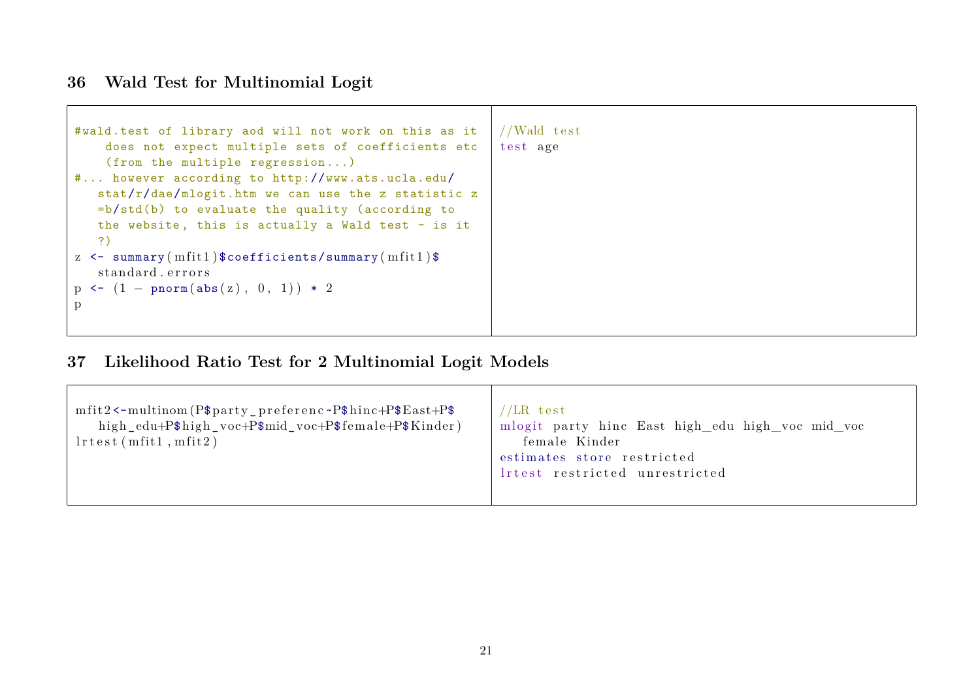### <span id="page-20-0"></span>**36 Wald Test for Multinomial Logit**

| #wald.test of library aod will not work on this as it<br>does not expect multiple sets of coefficients etc<br>(from the multiple regression)<br># however according to http://www.ats.ucla.edu/<br>stat/r/dae/mlogit.htm we can use the z statistic z<br>$=b/std(b)$ to evaluate the quality (according to<br>the website, this is actually a Wald test - is it<br>?)<br>z $\leq$ summary (mfit1) \$coefficients/summary (mfit1) \$<br>standard errors | //Wald test<br>test age |
|--------------------------------------------------------------------------------------------------------------------------------------------------------------------------------------------------------------------------------------------------------------------------------------------------------------------------------------------------------------------------------------------------------------------------------------------------------|-------------------------|
| $p \leftarrow (1 - \text{pnorm}(\text{abs}(z), 0, 1)) * 2$                                                                                                                                                                                                                                                                                                                                                                                             |                         |
|                                                                                                                                                                                                                                                                                                                                                                                                                                                        |                         |

# <span id="page-20-1"></span>**37 Likelihood Ratio Test for 2 Multinomial Logit Models**

| $mfit2$ <-multinom (P\$party_preferenc ~P\$hinc+P\$East+P\$<br>high_edu+P\$high_voc+P\$mid_voc+P\$female+P\$Kinder)<br>$l$ rtest (mfit $1$ , mfit $2$ ) | $\sqrt{LR}$ test<br>mlogit party hinc East high_edu high_voc mid_voc<br>female Kinder<br>estimates store restricted<br>lrtest restricted unrestricted |
|---------------------------------------------------------------------------------------------------------------------------------------------------------|-------------------------------------------------------------------------------------------------------------------------------------------------------|
|---------------------------------------------------------------------------------------------------------------------------------------------------------|-------------------------------------------------------------------------------------------------------------------------------------------------------|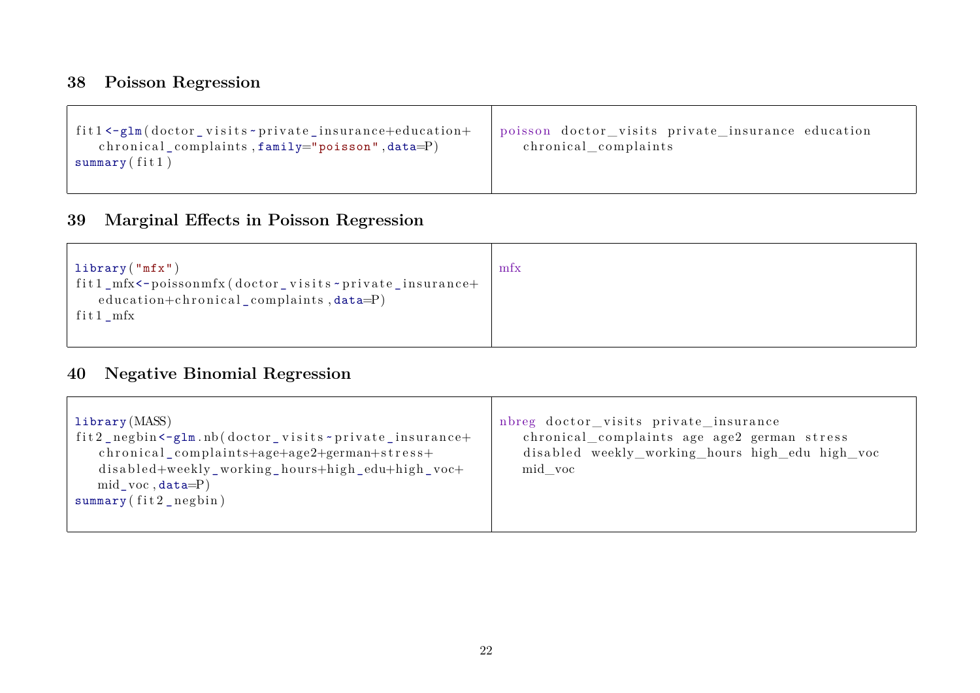# <span id="page-21-0"></span>**38 Poisson Regression**

| $\int$ fit1<-glm(doctor_visits-private_insurance+education+<br>chronical complaints, $family="poisson$ , $data=P$ )<br>summary $\int$ fitl) | poisson doctor_visits private_insurance education<br>chronical complaints |
|---------------------------------------------------------------------------------------------------------------------------------------------|---------------------------------------------------------------------------|
|                                                                                                                                             |                                                                           |

### <span id="page-21-1"></span>**39 Marginal Effects in Poisson Regression**

| library $("mfx")$<br>fit1_mfx<-poissonmfx(doctor_visits-private_insurance+<br>education+chronical_complaints, $data = P$ )<br>fit $1$ mfx | mfx |
|-------------------------------------------------------------------------------------------------------------------------------------------|-----|
|-------------------------------------------------------------------------------------------------------------------------------------------|-----|

### <span id="page-21-2"></span>**40 Negative Binomial Regression**

| library(MASS)<br>fit2_negbin <-glm.nb(doctor_visits ~private_insurance+<br>chronical_complaints+age+age2+german+stress+<br>disabled+weekly_working_hours+high_edu+high_voc+<br>$mid\_voc, data=P)$<br>$summary(fit2_negbin)$ | nbreg doctor_visits private_insurance<br>chronical_complaints age age2 german stress<br>disabled weekly_working_hours high_edu high_voc<br>mid voc |
|------------------------------------------------------------------------------------------------------------------------------------------------------------------------------------------------------------------------------|----------------------------------------------------------------------------------------------------------------------------------------------------|
|------------------------------------------------------------------------------------------------------------------------------------------------------------------------------------------------------------------------------|----------------------------------------------------------------------------------------------------------------------------------------------------|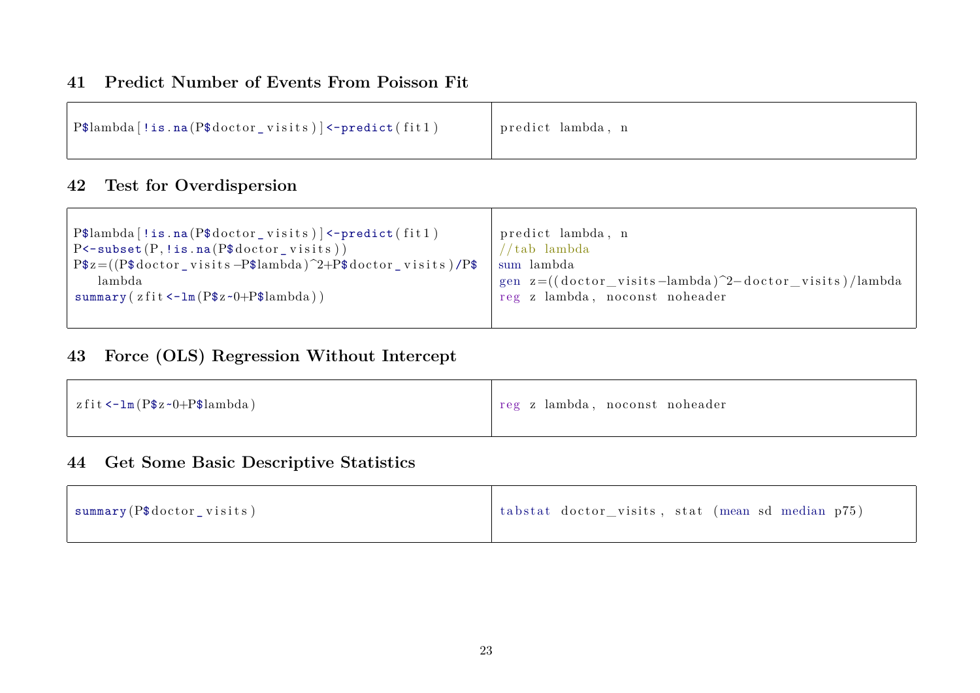#### <span id="page-22-0"></span>**41 Predict Number of Events From Poisson Fit**

| $\vert$ P\$lambda [!is.na(P\$doctor_visits)] <-predict(fit1) | predict lambda, n |
|--------------------------------------------------------------|-------------------|
|--------------------------------------------------------------|-------------------|

### <span id="page-22-1"></span>**42 Test for Overdispersion**

| $P$lambda[!is .na(P$doctor_visits)] \leftarrow predict(fitt1)$             | predict lambda, n                                             |
|----------------------------------------------------------------------------|---------------------------------------------------------------|
|                                                                            |                                                               |
| $P$ < - subset $(P, \text{lis} \cdot \text{na}(P\$ \$ doctor _ visits $))$ | 'tab lambda                                                   |
| $P$z=((P$doctor_visits -P$lambda)^2+P$doctor_visits)/P$$                   | sum lambda                                                    |
| lambda                                                                     | gen $z = ((dotor\_visits -lambda)^2 - doctor\_visits)/lambda$ |
| summary ( $zfit < -lm(P$z~0+P$lambda)$ )                                   | reg z lambda, noconst noheader                                |
|                                                                            |                                                               |
|                                                                            |                                                               |

# <span id="page-22-2"></span>**43 Force (OLS) Regression Without Intercept**

| $\vert$ zfit <-1m (P\$z ~0+P\$lambda) | reg z lambda, noconst noheader |
|---------------------------------------|--------------------------------|
|---------------------------------------|--------------------------------|

#### <span id="page-22-3"></span>**44 Get Some Basic Descriptive Statistics**

| $_1$ summary (P\$doctor_visits) | tabstat doctor_visits, stat (mean sd median p75) |
|---------------------------------|--------------------------------------------------|
|---------------------------------|--------------------------------------------------|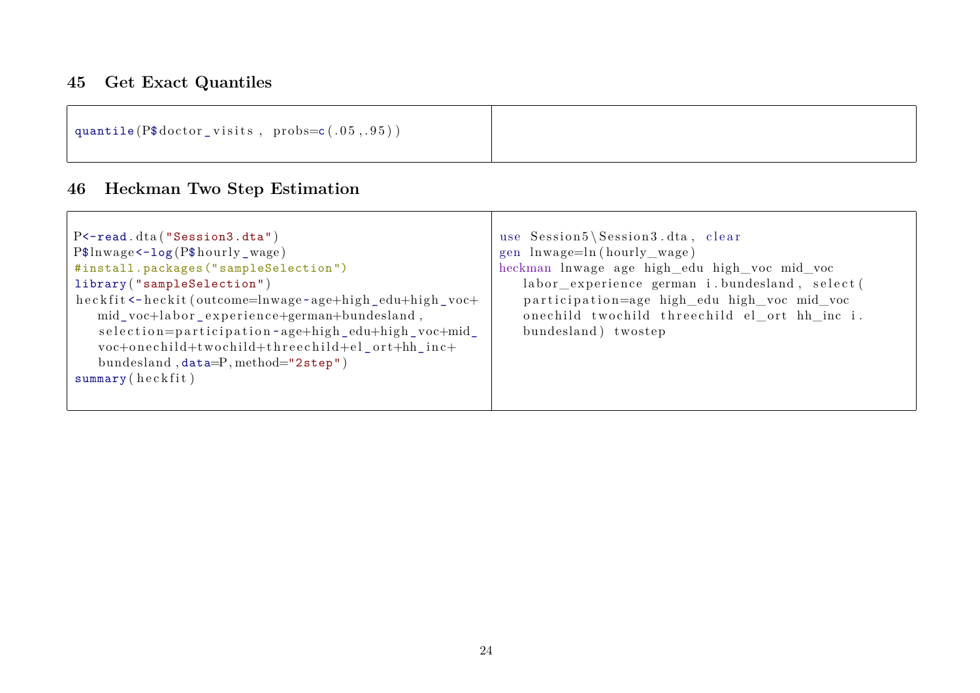### <span id="page-23-0"></span>**45 Get Exact Quantiles**

| quantile $(P$ doctor\_visits , probs=c(.05,.95))$ |  |  |
|---------------------------------------------------|--|--|
|                                                   |  |  |

### <span id="page-23-1"></span>**46 Heckman Two Step Estimation**

| $P$ < - read. $dt$ a ("Session3. $dt$ a")<br>$P$ln wage < -log(P$hourly_wage)$<br>#install.packages("sampleSelection")<br>library ("sampleSelection")<br>heckfit <-heckit (outcome=lnwage ~age+high_edu+high_voc+<br>mid_voc+labor_experience+german+bundesland,<br>selection=participation-age+high_edu+high_voc+mid_<br>voc+onechild+twochild+threechild+el_ort+hh_inc+<br>bundesland, $data = P$ , method="2step") | use Session5\Session3.dta, clear<br>gen lnwage=ln(hourly wage)<br>heckman lnwage age high_edu high_voc mid_voc<br>labor_experience german i.bundesland, select(<br>participation=age high_edu high_voc mid_voc<br>onechild twochild threechild el_ort hh_inc i.<br>bundesland) twostep |
|-----------------------------------------------------------------------------------------------------------------------------------------------------------------------------------------------------------------------------------------------------------------------------------------------------------------------------------------------------------------------------------------------------------------------|----------------------------------------------------------------------------------------------------------------------------------------------------------------------------------------------------------------------------------------------------------------------------------------|
| summary(heckfit)                                                                                                                                                                                                                                                                                                                                                                                                      |                                                                                                                                                                                                                                                                                        |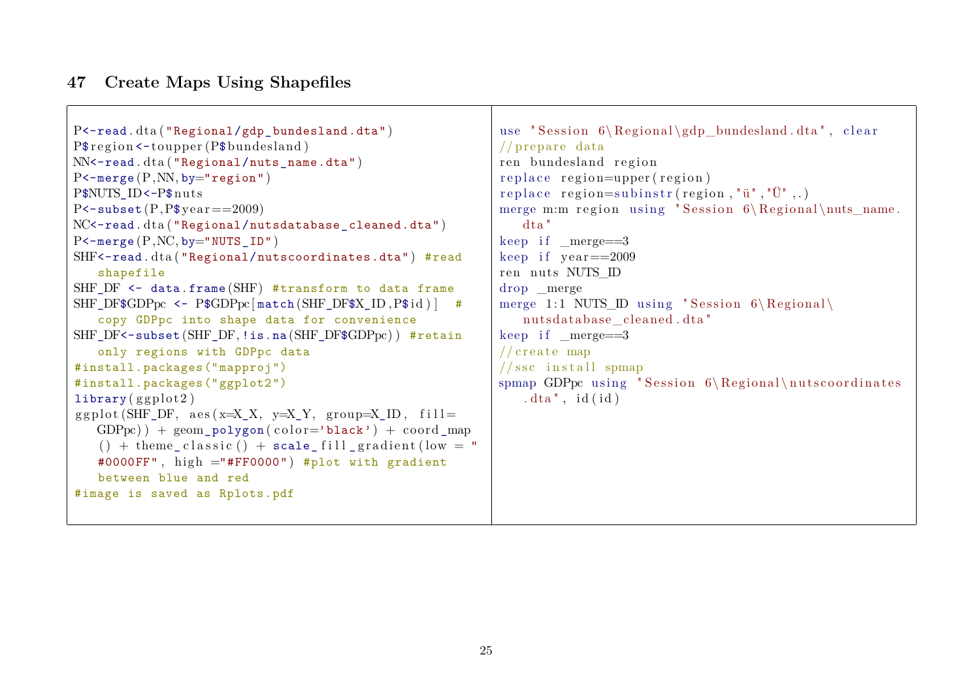#### <span id="page-24-0"></span>**47 Create Maps Using Shapefiles**

```
P<-read.dta ("Regional/gdp_bundesland.dta")
P\frac{\gamma}{\gamma} region <-toupper (P\frac{\gamma}{\gamma}bundesland)
NN<-read.dta ("Regional/nuts_name.dta")
P < - merge (P, NN, by=" region")P$NUTS_ID<-P$nuts
P < - subset (P, P$ ye a r = 2009)
NC<-read.dta ("Regional/nutsdatabase_cleaned.dta")
P < - merge (P, NC, by="NUTS, ID")SHF<-read.dta ("Regional/nutscoordinates.dta") #read
   shapefile
SHF DF \leq data . frame (SHF) #transform to data frame
SHF_DF$GDPpc <- P$GDPpc [match (SHF_DF$X_ID,P$ id ) ] #
   copy GDPpc into shape data for convenience
SHF_DF<-subset (SHF_DF, !is . na (SHF_DF$GDPpc)) #retain
   only regions with GDPpc data
#install.packages("mapproj")
#install.packages("ggplot2")
library ( g g plot 2 )g g pl o t (SHF DF, a e s (x=X X, y=X Y, group=X ID, f i l l =
   GDPpc) + geom polygon ( color='black') + coord map
   () + theme_classic() + scale_fill_gradient(low = "
   #0000FF", high ="#FF0000") #plot with gradient
   between blue and red
#image is saved as Rplots.pdf
                                                              use " Session 6\Re Regional \gcd bundesland . dta " , c l e a r
                                                              // prepare data
                                                              ren bundesland region
                                                              replace region=upper (region)
                                                              replace region=subinstr (region, "\ddot{u}", "\ddot{U}",.)
                                                              merge m:m region using "Session 6\Reegional\nus name.
                                                                  dta "
                                                              keep if meree=3keep if year = = 2009ren nuts NUTS ID
                                                              drop _merge
                                                              merge 1:1 NUTS ID using " Session 6\Re\{Regional\}nutsdatabase cleaned.dta"
                                                              keep if merge==3// create man// ssc install spmap
                                                              spmap GDPpc using "Session 6\Re Regional \nutscoordinates
                                                                  . dta", id(id)
```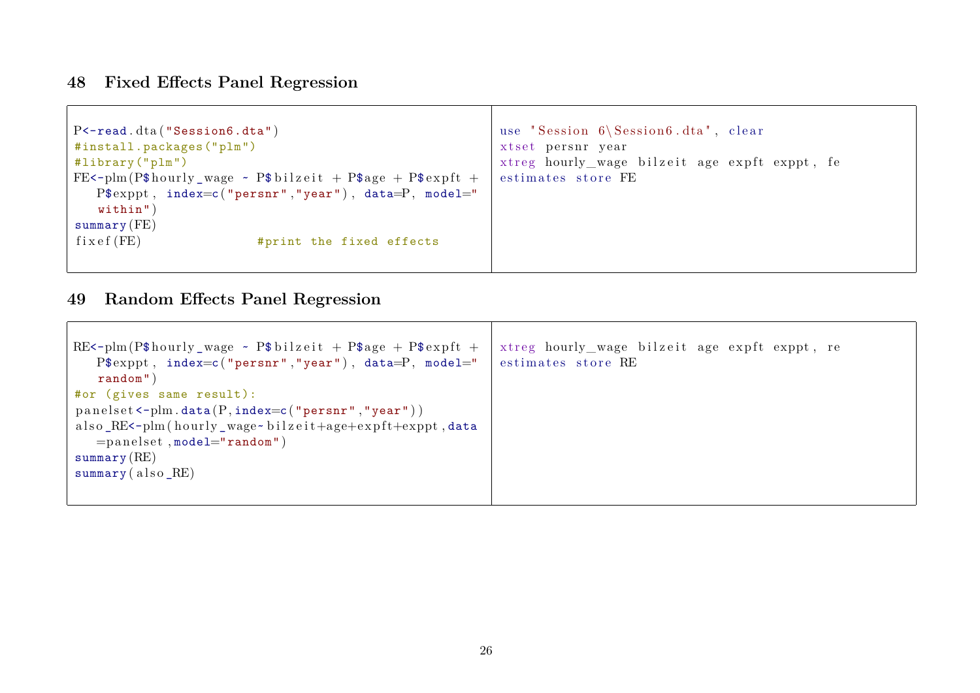# <span id="page-25-0"></span>**48 Fixed Effects Panel Regression**

 $\sqrt{ }$ 

| $P$ < - read. $dt$ a ("Session6. $dt$ a")<br>#install.packages("plm")<br>#library ("plm")<br>FE<-plm(P\$hourly_wage $\sim$ P\$bilzeit + P\$age + P\$expft +<br>$P$exppt, index=c("person", "year")$ , data=P, model=" | use "Session 6\Session6.dta", clear<br>xtset persnr year<br>xtreg hourly_wage bilzeit age expft exppt, fe<br>estimates store FE |
|-----------------------------------------------------------------------------------------------------------------------------------------------------------------------------------------------------------------------|---------------------------------------------------------------------------------------------------------------------------------|
| $widthin$ ")<br>$summary$ (FE)<br>fixef(FE)<br>#print the fixed effects                                                                                                                                               |                                                                                                                                 |
|                                                                                                                                                                                                                       |                                                                                                                                 |

### <span id="page-25-1"></span>**49 Random Effects Panel Regression**

| $RE$ <-plm(P\$hourly_wage ~ P\$bilzeit + P\$age + P\$expft + | xtreg hourly_wage bilzeit age expft exppt, re |
|--------------------------------------------------------------|-----------------------------------------------|
| $P$exppt, index=c("person", "year"), data=P, model="$        | estimates store RE                            |
| random")                                                     |                                               |
| #or (gives same result):                                     |                                               |
| $panelset < -plm.data(P, index = c("person", "year"))$       |                                               |
| also_RE<-plm(hourly_wage~bilzeit+age+expft+exppt,data        |                                               |
| $=$ panelset, model="random")                                |                                               |
| $\texttt{summary}(\text{RE})$                                |                                               |
| $\texttt{summary}(\text{ also }R\text{E})$                   |                                               |
|                                                              |                                               |
|                                                              |                                               |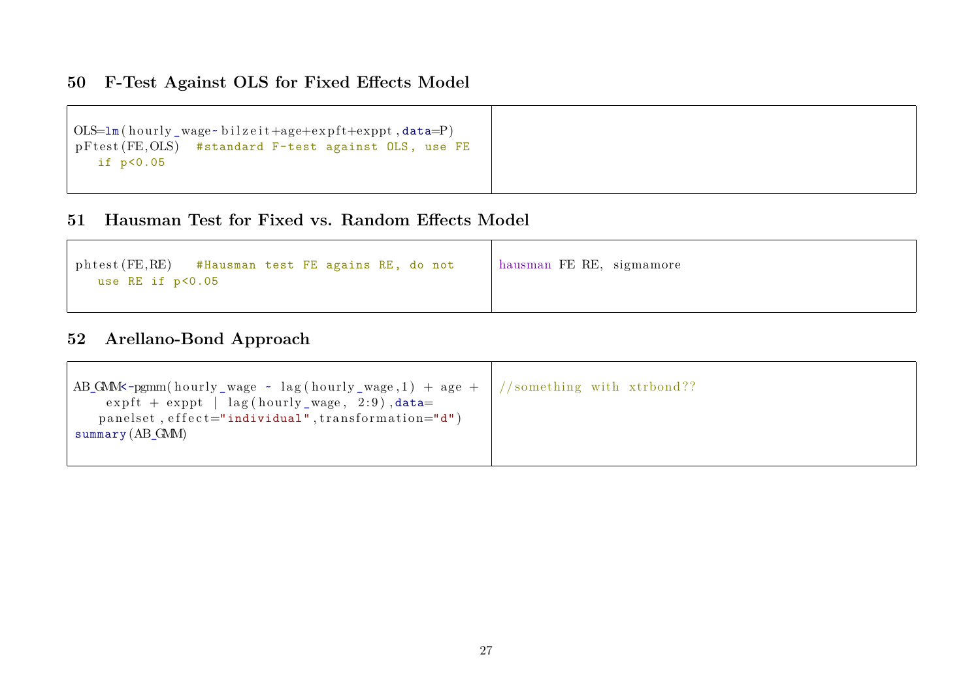#### <span id="page-26-0"></span>**50 F-Test Against OLS for Fixed Effects Model**

```
OLS=lm(hourly wage~bilzeit+age+expft+exppt, data=P)pFtest (FE, OLS) #standard F-test against OLS, use FE
   if p<0.05
```
#### <span id="page-26-1"></span>**51 Hausman Test for Fixed vs. Random Effects Model**

| phtest (FE, RE) #Hausman test FE agains RE, do not<br>use RE if p<0.05 | hausman FE RE, sigmamore |
|------------------------------------------------------------------------|--------------------------|
|------------------------------------------------------------------------|--------------------------|

#### <span id="page-26-2"></span>**52 Arellano-Bond Approach**

| AB_GMM<br>s-pgmm(hourly_wage $\sim$ lag(hourly_wage,1) + age +  //something with xtrbond??<br>$\exp\{t + \exp\{t} \mid \text{lag}(\text{hourly\_wage}, 2:9), \text{data} =$<br>panelset, effect="individual", transformation="d")<br>summary $(AB\ GMM)$ |  |
|----------------------------------------------------------------------------------------------------------------------------------------------------------------------------------------------------------------------------------------------------------|--|
|                                                                                                                                                                                                                                                          |  |